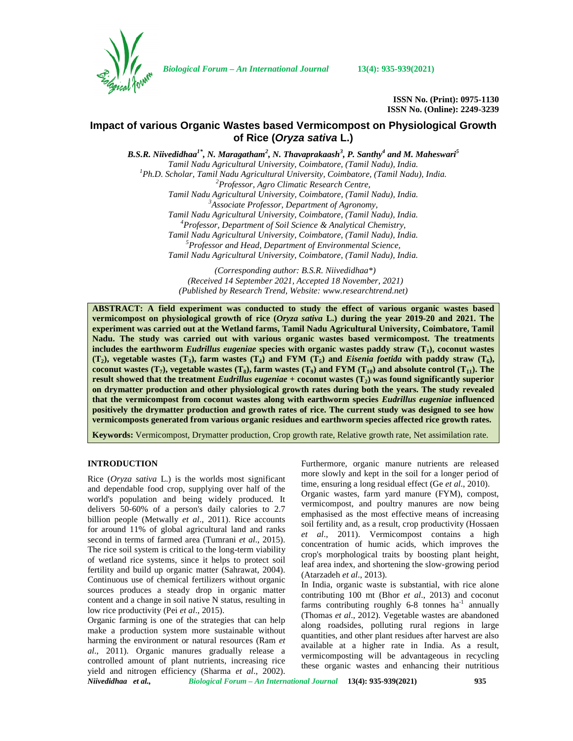

*Biological Forum – An International Journal* **13(4): 935-939(2021)**

**ISSN No. (Print): 0975-1130 ISSN No. (Online): 2249-3239**

## **Impact of various Organic Wastes based Vermicompost on Physiological Growth of Rice (***Oryza sativa* **L.)**

*B.S.R. Niivedidhaa1\* , N. Maragatham<sup>2</sup> , N. Thavaprakaash<sup>3</sup> , P. Santhy<sup>4</sup> and M. Maheswari<sup>5</sup>* Tamil Nadu Agricultural University, Coimbatore, (Tamil Nadu), India.<br><sup>1</sup>Ph.D. Scholar, Tamil Nadu Agricultural University, Coimbatore, (Tamil Nadu), India.<br><sup>2</sup>Professor, Agro Climatic Research Centre, *Tamil Nadu Agricultural University, Coimbatore, (Tamil Nadu), India. <sup>3</sup>Associate Professor, Department of Agronomy, Tamil Nadu Agricultural University, Coimbatore, (Tamil Nadu), India. <sup>4</sup>Professor, Department of Soil Science & Analytical Chemistry, Tamil Nadu Agricultural University, Coimbatore, (Tamil Nadu), India. <sup>5</sup>Professor and Head, Department of Environmental Science, Tamil Nadu Agricultural University, Coimbatore, (Tamil Nadu), India.*

> *(Corresponding author: B.S.R. Niivedidhaa\*) (Received 14 September 2021, Accepted 18 November, 2021) (Published by Research Trend, Website: [www.researchtrend.net\)](www.researchtrend.net)*

**ABSTRACT: A field experiment was conducted to study the effect of various organic wastes based vermicompost on physiological growth of rice (***Oryza sativa* **L.) during the year 2019-20 and 2021. The experiment was carried out at the Wetland farms, Tamil Nadu Agricultural University, Coimbatore, Tamil Nadu. The study was carried out with various organic wastes based vermicompost. The treatments includes the earthworm** *Eudrillus eugeniae* **species with organic wastes paddy straw (T1), coconut wastes (T2), vegetable wastes (T3), farm wastes (T4) and FYM (T5) and** *Eisenia foetida* **with paddy straw (T6), coconut wastes (T<sub>7</sub>), vegetable wastes (T<sub>8</sub>), farm wastes (T<sub>9</sub>) and FYM (T<sub>10</sub>) and absolute control (T<sub>11</sub>). The result showed that the treatment** *Eudrillus eugeniae* **+ coconut wastes (T2) was found significantly superior on drymatter production and other physiological growth rates during both the years. The study revealed that the vermicompost from coconut wastes along with earthworm species** *Eudrillus eugeniae* **influenced positively the drymatter production and growth rates of rice. The current study was designed to see how vermicomposts generated from various organic residues and earthworm species affected rice growth rates.**

**Keywords:** Vermicompost, Drymatter production, Crop growth rate, Relative growth rate, Net assimilation rate.

### **INTRODUCTION**

Rice (*Oryza sativa* L.) is the worlds most significant and dependable food crop, supplying over half of the world's population and being widely produced. It delivers 50-60% of a person's daily calories to 2.7 billion people (Metwally *et al*., 2011). Rice accounts for around 11% of global agricultural land and ranks second in terms of farmed area (Tumrani *et al*., 2015). The rice soil system is critical to the long-term viability of wetland rice systems, since it helps to protect soil fertility and build up organic matter (Sahrawat, 2004). Continuous use of chemical fertilizers without organic sources produces a steady drop in organic matter content and a change in soil native N status, resulting in low rice productivity (Pei *et al*., 2015).

Organic farming is one of the strategies that can help make a production system more sustainable without harming the environment or natural resources (Ram *et al*., 2011). Organic manures gradually release a controlled amount of plant nutrients, increasing rice yield and nitrogen efficiency (Sharma *et al*., 2002). Furthermore, organic manure nutrients are released more slowly and kept in the soil for a longer period of time, ensuring a long residual effect (Ge *et al*., 2010).

Organic wastes, farm yard manure (FYM), compost, vermicompost, and poultry manures are now being emphasised as the most effective means of increasing soil fertility and, as a result, crop productivity (Hossaen *et al*., 2011). Vermicompost contains a high concentration of humic acids, which improves the crop's morphological traits by boosting plant height, leaf area index, and shortening the slow-growing period (Atarzadeh *et al*., 2013).

In India, organic waste is substantial, with rice alone contributing 100 mt (Bhor *et al*., 2013) and coconut farms contributing roughly  $6-8$  tonnes ha<sup>-1</sup> annually (Thomas *et al*., 2012). Vegetable wastes are abandoned along roadsides, polluting rural regions in large quantities, and other plant residues after harvest are also available at a higher rate in India. As a result, vermicomposting will be advantageous in recycling these organic wastes and enhancing their nutritious

*Niivedidhaa et al., Biological Forum – An International Journal* **13(4): 935-939(2021) 935**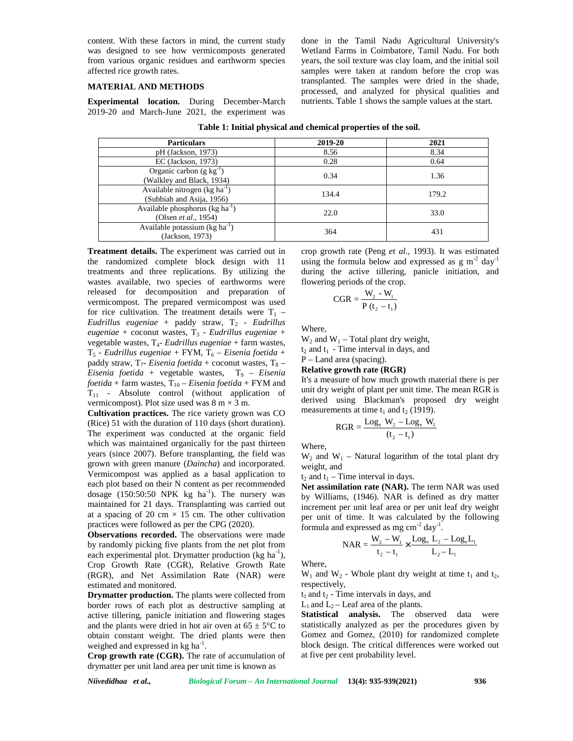content. With these factors in mind, the current study was designed to see how vermicomposts generated from various organic residues and earthworm species affected rice growth rates.

### **MATERIAL AND METHODS**

**Experimental location.** During December-March 2019-20 and March-June 2021, the experiment was

**Table 1: Initial physical and chemical properties of the soil. Particulars 2019-20 2021** pH (Jackson, 1973) 8.56 8.34<br>EC (Jackson, 1973) 0.28 0.64 EC (Jackson, 1973) Organic carbon  $(g kg^{-1})$ Urganic caroon (g kg ) and Black, 1934) and Black, 1934) and Black, 1934) and Black, 1934) and Black, 1934) and Black, 1934) and Black, 1934) and Black, 1934) and Black, 1934) and Black, 1934) and Black, 1934) and Black, 1 Available nitrogen (kg ha<sup>-1</sup>)  $\frac{134.4}{2}$  (Subbiah and Asija, 1956) 134.4 179.2 Available phosphorus (kg ha<sup>-1</sup>) (Olsen *et al.*, 1954) 22.0 33.0 Available potassium  $(\text{kg ha}^{-1})$ 0.34 1.36<br>
134.4 179.2<br>
22.0 33.0<br>
364 431<br>
crop growth rate (Peng *et al.*, 1993). It was estivaling the formula below and expressed as g m<sup>-2</sup><br>
during the active tillering, panicle initiation<br>
flowering periods of the c were taken at random before the crop was<br>
were taken at random before the crop was<br>
ted. The samples were dried in the shade,<br>
1, and analyzed for physical qualities and<br>
Table 1 shows the sample values at the start.<br> **al** e samples were dried in the shad<br>
analyzed for physical qualities an<br>
shows the sample values at the start.<br> **PERENCE SONALE ASSES**<br>
1.36<br>
1.36<br>
179.2<br>
33.0<br>
431<br>
(Peng *et al.*, 1993). It was estimate<br>
a below and expres

 $J = \frac{364}{364}$  and  $J = \frac{364}{31}$  and  $J = \frac{364}{31}$ 

**Treatment details.** The experiment was carried out in the randomized complete block design with 11 treatments and three replications. By utilizing the wastes available, two species of earthworms were flowering periods of the crop. released for decomposition and preparation of vermicompost. The prepared vermicompost was used for rice cultivation. The treatment details were  $T_1$  – *Eudrillus eugeniae* + paddy straw, T<sub>2</sub> - *Eudrillus* eugeniae + coconut wastes, T<sub>3</sub> - *Eudrillus eugeniae* + vegetable wastes, T4- *Eudrillus eugeniae* + farm wastes,  $T_5$  - *Eudrillus eugeniae* + FYM,  $T_6$  – *Eisenia foetida* + paddy straw,  $T_7$ - *Eisenia foetida* + coconut wastes,  $T_8$  –  $Eisenia$  *foetida* + vegetable wastes,  $T<sub>9</sub>$  – *Eisenia foetida* + farm wastes,  $T_{10}$  – *Eisenia foetida* + FYM and  $T_{11}$  - Absolute control (without application of vermicompost). Plot size used was  $8 \text{ m} \times 3 \text{ m}$ .

**Cultivation practices.** The rice variety grown was CO measurements at time  $t_1$  and  $t_2$  (1919). (Rice) 51 with the duration of 110 days (short duration). The experiment was conducted at the organic field which was maintained organically for the past thirteen years (since 2007). Before transplanting, the field was grown with green manure (*Daincha*) and incorporated. Vermicompost was applied as a basal application to each plot based on their N content as per recommended dosage  $(150:50:50 \text{ NPK kg ha}^{-1})$ . The nursery was maintained for 21 days. Transplanting was carried out at a spacing of 20 cm  $\times$  15 cm. The other cultivation practices were followed as per the CPG (2020).

**Observations recorded.** The observations were made by randomly picking five plants from the net plot from each experimental plot. Drymatter production  $(kg ha<sup>-1</sup>)$ , Crop Growth Rate (CGR), Relative Growth Rate (RGR), and Net Assimilation Rate (NAR) were estimated and monitored.

**Drymatter production.** The plants were collected from border rows of each plot as destructive sampling at active tillering, panicle initiation and flowering stages and the plants were dried in hot air oven at  $65 \pm 5^{\circ}$ C to obtain constant weight. The dried plants were then weighed and expressed in kg ha<sup>-1</sup>.

**Crop growth rate (CGR).** The rate of accumulation of drymatter per unit land area per unit time is known as

crop growth rate (Peng *et al*., 1993). It was estimated using the formula below and expressed as  $g m<sup>-2</sup>$  day<sup>-1</sup> during the active tillering, panicle initiation, and

done in the Tamil Nadu Agricultural University's Wetland Farms in Coimbatore, Tamil Nadu. For both years, the soil texture was clay loam, and the initial soil samples were taken at random before the crop was transplanted. The samples were dried in the shade, processed, and analyzed for physical qualities and nutrients. Table 1 shows the sample values at the start.

$$
CGR = \frac{W_2 - W_1}{P(t_2 - t_1)}
$$

Where,

 $W_2$  and  $W_1$  – Total plant dry weight,

 $t_2$  and  $t_1$  - Time interval in days, and P – Land area (spacing).

# **Relative growth rate (RGR)**

It's a measure of how much growth material there is per unit dry weight of plant per unit time. The mean RGR is derived using Blackman's proposed dry weight CGR =  $\frac{W_2 - W_1}{P(t_2 - t_1)}$ <br>
Where,<br>
W<sub>2</sub> and W<sub>1</sub> – Total plant dry weight,<br>
t<sub>2</sub> and t<sub>1</sub> - Time interval in days, and<br>
P – Land area (spacing).<br> **Relative growth rate (RGR)**<br>
It's a measure of how much growth material <sup>4</sup><br>
<sup>179,2</sup><br>
1<sup>19,2</sup><br>
<sup>179,2</sup><br>
<sup>179,2</sup><br>
<sup>2</sup><br> **1431**<br>
<sup>1</sup><br> **1431**<br> **431**<br> **431**<br> **431**<br> **431**<br> **431**<br> **431**<br> **431**<br> **431**<br> **431**<br> **431**<br> **431**<br> **431**<br> **431**<br> **of Margard Margard Singler initiation, and periods of the crop** 33.0<br>
431<br> *et al.*, 1993). It was estimated<br> *w* and expressed as g m<sup>2</sup> day<sup>-1</sup><br>
ering, panicle initiation, and<br>
crop.<br>  $\frac{W_1}{t_1}$ <br>
t dry weight,<br>
in days, and<br> **RGR**)<br>
uch growth material there is per<br>
per unit time

$$
RGR = \frac{\text{Log}_e W_2 - \text{Log}_e W_1}{(t_2 - t_1)}
$$

Where,

 $W_2$  and  $W_1$  – Natural logarithm of the total plant dry weight, and

 $t_2$  and  $t_1$  – Time interval in days.

**Net assimilation rate (NAR).** The term NAR was used by Williams, (1946). NAR is defined as dry matter increment per unit leaf area or per unit leaf dry weight per unit of time. It was calculated by the following formula and expressed as mg  $cm<sup>-2</sup>$  day<sup>-1</sup>. t<sub>1</sub> and t<sub>2</sub> (1919).<br>  $\frac{1}{2}$  ( $\frac{1}{2}$  - Log<sub>e</sub> W<sub>1</sub>)<br>
1 logarithm of the total plant dry<br>
al in days.<br>
(**NAR**). The term NAR was used<br>
NAR is defined as dry matter<br>
of area or per unit leaf dry weight<br>
was calculate - Total plant dry weight,<br>
ime interval in days, and<br>
ea (spacing).<br> **owth rate (RGR)**<br> **or of how much growth material there is per**<br>
gight of plant per unit time. The mean RGR is<br>
ing Blackman's proposed dry weight<br>
tha lant dry weight,<br>
val in days, and<br>
ng).<br>
e (RGR)<br>
much growth material there is per<br>
nat per unit time. The mean RGR is<br>
nat per unit time. The mean RGR is<br>  $e^{\frac{1}{2}}$ ,  $e^{\frac{1}{2}}$ ,  $e^{\frac{1}{2}}$ ,  $e^{\frac{1}{2}}$ ,  $e^{\frac{1}{2}}$ 

$$
NAR = \frac{W_2 - W_1}{t_2 - t_1} \times \frac{Log_e L_2 - Log_e L_1}{L_2 - L_1}
$$

Where,

 $W_1$  and  $W_2$  - Whole plant dry weight at time  $t_1$  and  $t_2$ , respectively,

 $t_1$  and  $t_2$  - Time intervals in days, and

 $L_1$  and  $L_2$  – Leaf area of the plants.

**Statistical analysis.** The observed data were statistically analyzed as per the procedures given by Gomez and Gomez, (2010) for randomized complete block design. The critical differences were worked out at five per cent probability level.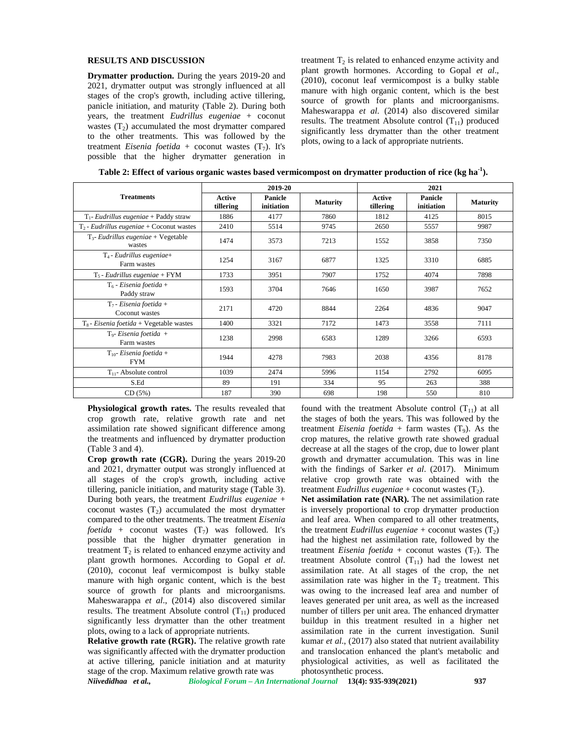#### **RESULTS AND DISCUSSION**

**Drymatter production.** During the years 2019-20 and 2021, drymatter output was strongly influenced at all stages of the crop's growth, including active tillering, panicle initiation, and maturity (Table 2). During both years, the treatment *Eudrillus eugeniae* + coconut wastes  $(T<sub>2</sub>)$  accumulated the most drymatter compared to the other treatments. This was followed by the treatment *Eisenia foetida* + coconut wastes  $(T_7)$ . It's possible that the higher drymatter generation in

treatment  $T_2$  is related to enhanced enzyme activity and plant growth hormones. According to Gopal *et al*., (2010), coconut leaf vermicompost is a bulky stable manure with high organic content, which is the best source of growth for plants and microorganisms. Maheswarappa *et al*. (2014) also discovered similar results. The treatment Absolute control  $(T_{11})$  produced significantly less drymatter than the other treatment plots, owing to a lack of appropriate nutrients.

| <b>Treatments</b>                                 | 2019-20                    |                       |                 | 2021                       |                       |                 |
|---------------------------------------------------|----------------------------|-----------------------|-----------------|----------------------------|-----------------------|-----------------|
|                                                   | <b>Active</b><br>tillering | Panicle<br>initiation | <b>Maturity</b> | <b>Active</b><br>tillering | Panicle<br>initiation | <b>Maturity</b> |
| $T_1$ - Eudrillus eugeniae + Paddy straw          | 1886                       | 4177                  | 7860            | 1812                       | 4125                  | 8015            |
| $T_2$ - Eudrillus eugeniae + Coconut wastes       | 2410                       | 5514                  | 9745            | 2650                       | 5557                  | 9987            |
| $T_3$ - Eudrillus eugeniae + Vegetable<br>wastes  | 1474                       | 3573                  | 7213            | 1552                       | 3858                  | 7350            |
| $T_4$ - Eudrillus eugeniae+<br>Farm wastes        | 1254                       | 3167                  | 6877            | 1325                       | 3310                  | 6885            |
| $T_5$ - Eudrillus eugeniae + FYM                  | 1733                       | 3951                  | 7907            | 1752                       | 4074                  | 7898            |
| $T_6$ - Eisenia foetida +<br>Paddy straw          | 1593                       | 3704                  | 7646            | 1650                       | 3987                  | 7652            |
| $T_7$ - Eisenia foetida +<br>Coconut wastes       | 2171                       | 4720                  | 8844            | 2264                       | 4836                  | 9047            |
| $T_8$ - <i>Eisenia foetida</i> + Vegetable wastes | 1400                       | 3321                  | 7172            | 1473                       | 3558                  | 7111            |
| $T_9$ - Eisenia foetida +<br>Farm wastes          | 1238                       | 2998                  | 6583            | 1289                       | 3266                  | 6593            |
| $T_{10}$ - Eisenia foetida +<br><b>FYM</b>        | 1944                       | 4278                  | 7983            | 2038                       | 4356                  | 8178            |
| $T_{11}$ - Absolute control                       | 1039                       | 2474                  | 5996            | 1154                       | 2792                  | 6095            |
| S.Ed                                              | 89                         | 191                   | 334             | 95                         | 263                   | 388             |
| CD(5%)                                            | 187                        | 390                   | 698             | 198                        | 550                   | 810             |

**Table 2: Effect of various organic wastes based vermicompost on drymatter production of rice (kg ha-1).**

**Physiological growth rates.** The results revealed that crop growth rate, relative growth rate and net assimilation rate showed significant difference among the treatments and influenced by drymatter production (Table 3 and 4).

**Crop growth rate (CGR).** During the years 2019-20 and 2021, drymatter output was strongly influenced at all stages of the crop's growth, including active tillering, panicle initiation, and maturity stage (Table 3). During both years, the treatment *Eudrillus eugeniae* + coconut wastes  $(T_2)$  accumulated the most drymatter compared to the other treatments. The treatment *Eisenia foetida* + coconut wastes  $(T_7)$  was followed. It's possible that the higher drymatter generation in treatment  $T_2$  is related to enhanced enzyme activity and plant growth hormones. According to Gopal *et al*. (2010), coconut leaf vermicompost is bulky stable manure with high organic content, which is the best source of growth for plants and microorganisms. Maheswarappa *et al*., (2014) also discovered similar results. The treatment Absolute control  $(T_{11})$  produced significantly less drymatter than the other treatment plots, owing to a lack of appropriate nutrients.

**Relative growth rate (RGR).** The relative growth rate was significantly affected with the drymatter production at active tillering, panicle initiation and at maturity stage of the crop. Maximum relative growth rate was

found with the treatment Absolute control  $(T_{11})$  at all the stages of both the years. This was followed by the treatment *Eisenia foetida* + farm wastes  $(T<sub>9</sub>)$ . As the crop matures, the relative growth rate showed gradual decrease at all the stages of the crop, due to lower plant growth and drymatter accumulation. This was in line with the findings of Sarker *et al*. (2017). Minimum relative crop growth rate was obtained with the treatment *Eudrillus eugeniae* + coconut wastes  $(T_2)$ .

**Net assimilation rate (NAR).** The net assimilation rate is inversely proportional to crop drymatter production and leaf area. When compared to all other treatments, the treatment *Eudrillus eugeniae* + coconut wastes  $(T_2)$ had the highest net assimilation rate, followed by the treatment *Eisenia foetida* + coconut wastes  $(T_7)$ . The treatment Absolute control  $(T_{11})$  had the lowest net assimilation rate. At all stages of the crop, the net assimilation rate was higher in the  $T_2$  treatment. This was owing to the increased leaf area and number of leaves generated per unit area, as well as the increased number of tillers per unit area. The enhanced drymatter buildup in this treatment resulted in a higher net assimilation rate in the current investigation. Sunil kumar *et al*., (2017) also stated that nutrient availability and translocation enhanced the plant's metabolic and physiological activities, as well as facilitated the photosynthetic process.

*Niivedidhaa et al., Biological Forum – An International Journal* **13(4): 935-939(2021) 937**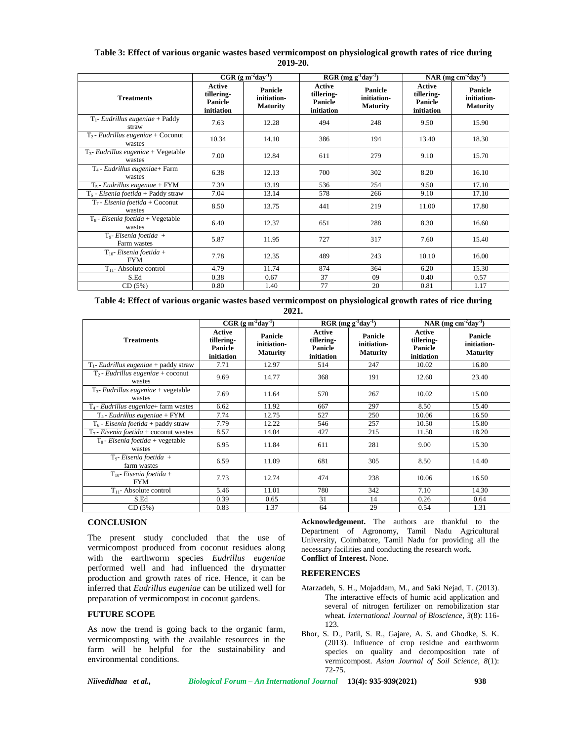**Table 3: Effect of various organic wastes based vermicompost on physiological growth rates of rice during 2019-20.**

|                                                      | $CGR (g m-2day-1)$                            |                                           | $RGR$ (mg g <sup>-1</sup> day <sup>-1</sup> ) |                                           | NAR (mg cm <sup>-2</sup> day <sup>-1</sup> )  |                                           |
|------------------------------------------------------|-----------------------------------------------|-------------------------------------------|-----------------------------------------------|-------------------------------------------|-----------------------------------------------|-------------------------------------------|
| <b>Treatments</b>                                    | Active<br>tillering-<br>Panicle<br>initiation | Panicle<br>initiation-<br><b>Maturity</b> | Active<br>tillering-<br>Panicle<br>initiation | Panicle<br>initiation-<br><b>Maturity</b> | Active<br>tillering-<br>Panicle<br>initiation | Panicle<br>initiation-<br><b>Maturity</b> |
| $T_1$ - Eudrillus eugeniae + Paddy<br>straw          | 7.63                                          | 12.28                                     | 494                                           | 248                                       | 9.50                                          | 15.90                                     |
| $T_2$ - Eudrillus eugeniae + Coconut<br>wastes       | 10.34                                         | 14.10                                     | 386                                           | 194                                       | 13.40                                         | 18.30                                     |
| $T_3$ - Eudrillus eugeniae + Vegetable<br>wastes     | 7.00                                          | 12.84                                     | 611                                           | 279                                       | 9.10                                          | 15.70                                     |
| $T_4$ - Eudrillus eugeniae+ Farm<br>wastes           | 6.38                                          | 12.13                                     | 700                                           | 302                                       | 8.20                                          | 16.10                                     |
| $T_5$ - Eudrillus eugeniae + FYM                     | 7.39                                          | 13.19                                     | 536                                           | 254                                       | 9.50                                          | 17.10                                     |
| $T_6$ - <i>Eisenia foetida</i> + Paddy straw         | 7.04                                          | 13.14                                     | 578                                           | 266                                       | 9.10                                          | 17.10                                     |
| $T_7$ - Eisenia foetida + Coconut<br>wastes          | 8.50                                          | 13.75                                     | 441                                           | 219                                       | 11.00                                         | 17.80                                     |
| $T_8$ - <i>Eisenia foetida</i> + Vegetable<br>wastes | 6.40                                          | 12.37                                     | 651                                           | 288                                       | 8.30                                          | 16.60                                     |
| $T_9$ - Eisenia foetida +<br>Farm wastes             | 5.87                                          | 11.95                                     | 727                                           | 317                                       | 7.60                                          | 15.40                                     |
| $T_{10}$ - Eisenia foetida +<br><b>FYM</b>           | 7.78                                          | 12.35                                     | 489                                           | 243                                       | 10.10                                         | 16.00                                     |
| $T_{11}$ - Absolute control                          | 4.79                                          | 11.74                                     | 874                                           | 364                                       | 6.20                                          | 15.30                                     |
| S.Ed                                                 | 0.38                                          | 0.67                                      | 37                                            | 09                                        | 0.40                                          | 0.57                                      |
| CD(5%)                                               | 0.80                                          | 1.40                                      | 77                                            | 20                                        | 0.81                                          | 1.17                                      |

**Table 4: Effect of various organic wastes based vermicompost on physiological growth rates of rice during 2021.**

| <b>Treatments</b>                                    | $CGR (g m-2day-1)$                                   |                                           | $RGR$ (mg g <sup>-1</sup> day <sup>-1</sup> )        |                                           | NAR (mg $cm2day-1$ )                                 |                                           |
|------------------------------------------------------|------------------------------------------------------|-------------------------------------------|------------------------------------------------------|-------------------------------------------|------------------------------------------------------|-------------------------------------------|
|                                                      | Active<br>tillering-<br><b>Panicle</b><br>initiation | Panicle<br>initiation-<br><b>Maturity</b> | Active<br>tillering-<br><b>Panicle</b><br>initiation | Panicle<br>initiation-<br><b>Maturity</b> | Active<br>tillering-<br><b>Panicle</b><br>initiation | Panicle<br>initiation-<br><b>Maturity</b> |
| $T_1$ - Eudrillus eugeniae + paddy straw             | 7.71                                                 | 12.97                                     | 514                                                  | 247                                       | 10.02                                                | 16.80                                     |
| $T_2$ - Eudrillus eugeniae + coconut<br>wastes       | 9.69                                                 | 14.77                                     | 368                                                  | 191                                       | 12.60                                                | 23.40                                     |
| $T_3$ - Eudrillus eugeniae + vegetable<br>wastes     | 7.69                                                 | 11.64                                     | 570                                                  | 267                                       | 10.02                                                | 15.00                                     |
| $T_4$ - Eudrillus eugeniae + farm wastes             | 6.62                                                 | 11.92                                     | 667                                                  | 297                                       | 8.50                                                 | 15.40                                     |
| $T_5$ - Eudrillus eugeniae + FYM                     | 7.74                                                 | 12.75                                     | 527                                                  | 250                                       | 10.06                                                | 16.50                                     |
| $T_6$ - <i>Eisenia foetida</i> + paddy straw         | 7.79                                                 | 12.22                                     | 546                                                  | 257                                       | 10.50                                                | 15.80                                     |
| $T_7$ - Eisenia foetida + coconut wastes             | 8.57                                                 | 14.04                                     | 427                                                  | 215                                       | 11.50                                                | 18.20                                     |
| $T_8$ - <i>Eisenia foetida</i> + vegetable<br>wastes | 6.95                                                 | 11.84                                     | 611                                                  | 281                                       | 9.00                                                 | 15.30                                     |
| $T_9$ - Eisenia foetida +<br>farm wastes             | 6.59                                                 | 11.09                                     | 681                                                  | 305                                       | 8.50                                                 | 14.40                                     |
| $T_{10}$ - Eisenia foetida +<br><b>FYM</b>           | 7.73                                                 | 12.74                                     | 474                                                  | 238                                       | 10.06                                                | 16.50                                     |
| $T_{11}$ - Absolute control                          | 5.46                                                 | 11.01                                     | 780                                                  | 342                                       | 7.10                                                 | 14.30                                     |
| S.Ed                                                 | 0.39                                                 | 0.65                                      | 31                                                   | 14                                        | 0.26                                                 | 0.64                                      |
| CD(5%)                                               | 0.83                                                 | 1.37                                      | 64                                                   | 29                                        | 0.54                                                 | 1.31                                      |

### **CONCLUSION**

The present study concluded that the use of vermicompost produced from coconut residues along with the earthworm species *Eudrillus eugeniae* performed well and had influenced the drymatter production and growth rates of rice. Hence, it can be inferred that *Eudrillus eugeniae* can be utilized well for preparation of vermicompost in coconut gardens.

### **FUTURE SCOPE**

As now the trend is going back to the organic farm, vermicomposting with the available resources in the farm will be helpful for the sustainability and environmental conditions.

**Acknowledgement.** The authors are thankful to the Department of Agronomy, Tamil Nadu Agricultural University, Coimbatore, Tamil Nadu for providing all the necessary facilities and conducting the research work. **Conflict of Interest.** None.

#### **REFERENCES**

- Atarzadeh, S. H., Mojaddam, M., and Saki Nejad, T. (2013). The interactive effects of humic acid application and several of nitrogen fertilizer on remobilization star wheat. *International Journal of Bioscience, 3*(8): 116- 123.
- Bhor, S. D., Patil, S. R., Gajare, A. S. and Ghodke, S. K. (2013). Influence of crop residue and earthworm species on quality and decomposition rate of vermicompost. *Asian Journal of Soil Science, 8*(1): 72-75.

*Niivedidhaa et al., Biological Forum – An International Journal* **13(4): 935-939(2021) 938**